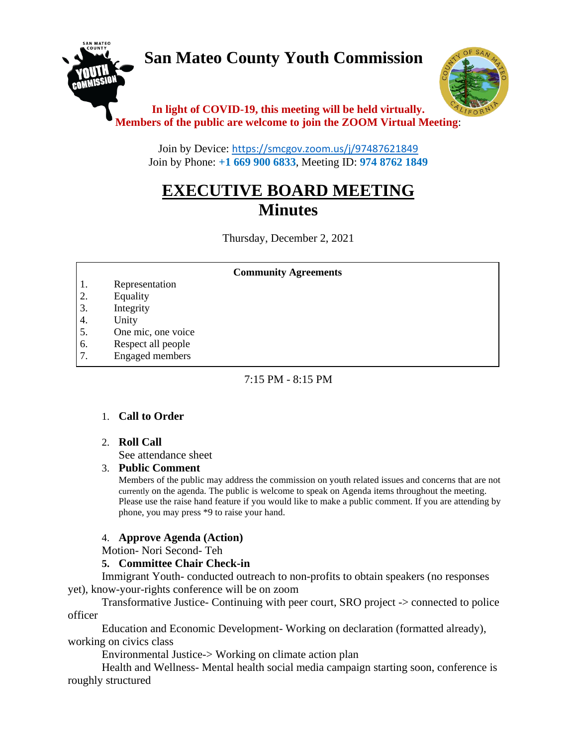# **San Mateo County Youth Commission**



# **In light of COVID-19, this meeting will be held virtually. Members of the public are welcome to join the ZOOM Virtual Meeting**:

Join by Device: <https://smcgov.zoom.us/j/97487621849> Join by Phone: **+1 669 900 6833**, Meeting ID: **974 8762 1849**

# **EXECUTIVE BOARD MEETING Minutes**

Thursday, December 2, 2021

#### **Community Agreements**

- 1. Representation
- 2. Equality
- 3. Integrity
- 4. Unity
- 5. One mic, one voice
- 6. Respect all people
- 7. Engaged members

## $7:15$  PM  $-8:15$  PM

# 1. **Call to Order**

# 2. **Roll Call**

See attendance sheet

8. Leadership and empowerment

#### 3. **Public Comment**

Members of the public may address the commission on youth related issues and concerns that are not currently on the agenda. The public is welcome to speak on Agenda items throughout the meeting. Please use the raise hand feature if you would like to make a public comment. If you are attending by phone, you may press \*9 to raise your hand.

#### 4. **Approve Agenda (Action)**

Motion- Nori Second- Teh

# **5. Committee Chair Check-in**

Immigrant Youth- conducted outreach to non-profits to obtain speakers (no responses yet), know-your-rights conference will be on zoom

Transformative Justice- Continuing with peer court, SRO project -> connected to police officer

Education and Economic Development- Working on declaration (formatted already), working on civics class

Environmental Justice-> Working on climate action plan

Health and Wellness- Mental health social media campaign starting soon, conference is roughly structured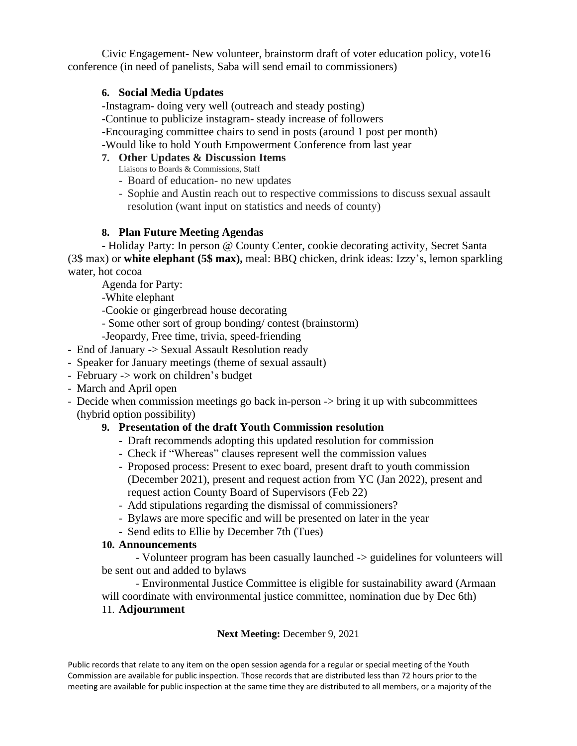Civic Engagement- New volunteer, brainstorm draft of voter education policy, vote16 conference (in need of panelists, Saba will send email to commissioners)

## **6. Social Media Updates**

-Instagram- doing very well (outreach and steady posting)

-Continue to publicize instagram- steady increase of followers

-Encouraging committee chairs to send in posts (around 1 post per month)

-Would like to hold Youth Empowerment Conference from last year

# **7. Other Updates & Discussion Items**

Liaisons to Boards & Commissions, Staff

- Board of education- no new updates
- Sophie and Austin reach out to respective commissions to discuss sexual assault resolution (want input on statistics and needs of county)

# **8. Plan Future Meeting Agendas**

- Holiday Party: In person @ County Center, cookie decorating activity, Secret Santa (3\$ max) or **white elephant (5\$ max),** meal: BBQ chicken, drink ideas: Izzy's, lemon sparkling water, hot cocoa

Agenda for Party:

-White elephant

-Cookie or gingerbread house decorating

- Some other sort of group bonding/ contest (brainstorm)
- -Jeopardy, Free time, trivia, speed-friending
- End of January -> Sexual Assault Resolution ready
- Speaker for January meetings (theme of sexual assault)
- February -> work on children's budget
- March and April open
- Decide when commission meetings go back in-person -> bring it up with subcommittees (hybrid option possibility)

# **9. Presentation of the draft Youth Commission resolution**

- Draft recommends adopting this updated resolution for commission
- Check if "Whereas" clauses represent well the commission values
- Proposed process: Present to exec board, present draft to youth commission (December 2021), present and request action from YC (Jan 2022), present and request action County Board of Supervisors (Feb 22)
- Add stipulations regarding the dismissal of commissioners?
- Bylaws are more specific and will be presented on later in the year
- Send edits to Ellie by December 7th (Tues)

# **10. Announcements**

- Volunteer program has been casually launched -> guidelines for volunteers will be sent out and added to bylaws

- Environmental Justice Committee is eligible for sustainability award (Armaan will coordinate with environmental justice committee, nomination due by Dec 6th)

11. **Adjournment**

**Next Meeting:** December 9, 2021

Public records that relate to any item on the open session agenda for a regular or special meeting of the Youth Commission are available for public inspection. Those records that are distributed less than 72 hours prior to the meeting are available for public inspection at the same time they are distributed to all members, or a majority of the